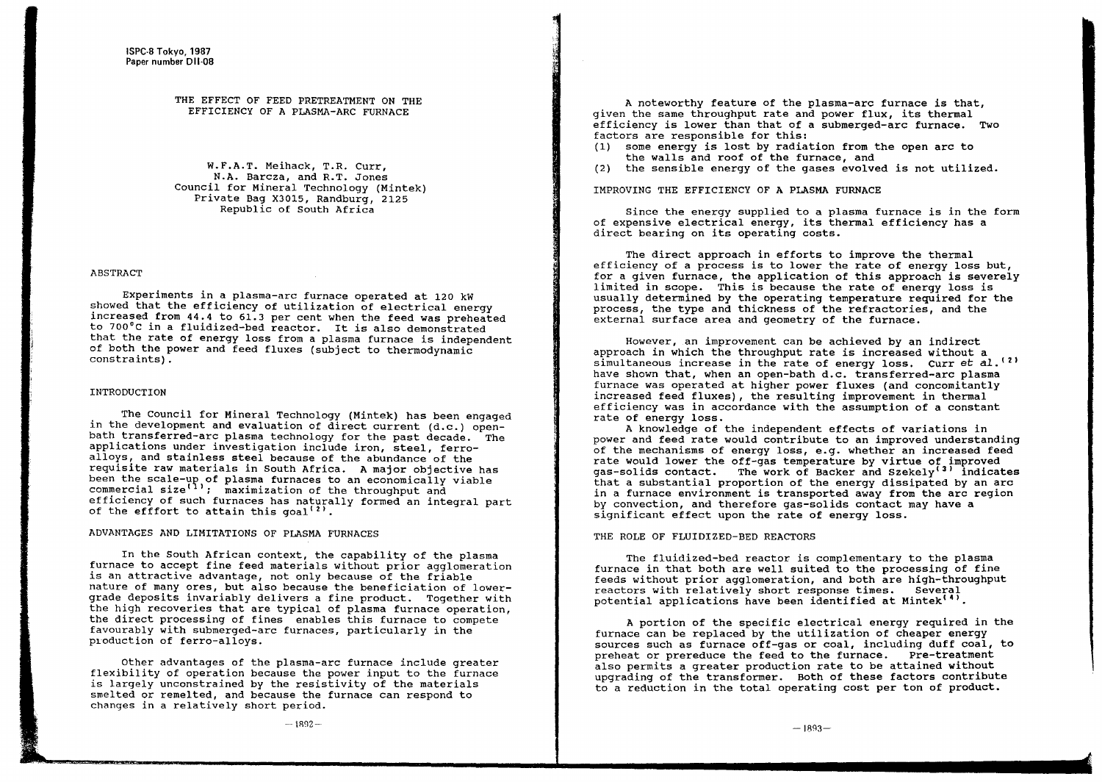#### THE EFFECT OF FEED PRETREATMENT ON THE EFFICIENCY OF A PLASMA-ARC FURNACE

W.F.A.T. Meihack, T.R. Curr, N.A. Barcza, and R.T. Jones Council for Mineral Technology (Mintek) Private Bag X3015, Randburg, 2125 Republic of South Africa

#### ABSTRACT

Experiments in <sup>a</sup> plasma-arc furnace operated at 120 kW showed that the efficiency of utilization of electrical energy increased from 44.4 to 61.3 per cent when the feed was preheated to 700°C in <sup>a</sup> fluidized-bed reactor. It is also demonstrated that the rate of energy loss from <sup>a</sup> plasma furnace is independent of both the power and feed fluxes (subject to thermodynamic constraints).

#### INTRODUCTION

The Council for Mineral Technology (Mintek) has been engaged in the development and evaluation of direct current (d.c.) openbath transferred-arc plasma technology for the past decade. The applications under investigation include iron, steel, ferroalloys, and stainless steel because of the abundance of the requisite raw materials in South Africa. A major objective has been the scale-up of plasma furnaces to an economically viable commercial size $\left(1\right)$ ; maximization of the throughput and efficiency of such furnaces has naturally formed an integral part of the efffort to attain this goal<sup>(2)</sup>.

#### ADVANTAGES AND LIMITATIONS OF PLASMA FURNACES

In the South African context, the capability of the plasma furnace to accept fine feed materials without prior agglomeration is an attractive advantage, not only because of the friable nature of many ores, but also because the beneficiation of lowergrade deposits invariably delivers a fine product. Together with the high recoveries that are typical of plasma furnace operation, the direct processing of fines enables this furnace to compete favourably with SUbmerged-arc furnaces, particularly in the production of ferro-alloys.

Other advantages of the plasma-arc furnace include greater flexibility of operation because the power input to the furnace is largely unconstrained by the resistivity of the materials smelted or remelted, and because the furnace can respond to changes in <sup>a</sup> relatively short period.

<sup>A</sup> noteworthy feature of the plasma-arc furnace is that, given the same throughput rate and power flux, its thermal efficiency is lower than that of <sup>a</sup> SUbmerged-arc furnace. Two factors are responsible for this:

- (1) some energy is lost by radiation from the open arc to the walls and roof of the furnace, and
- (2) the sensible energy of the gases evolved is not utilized.

IMPROVING THE EFFICIENCY OF A PLASMA FURNACE

Since the energy supplied to <sup>a</sup> plasma furnace is in the form of expensive electrical energy, its thermal efficiency has <sup>a</sup> direct bearing on its operating costs.

The direct approach in efforts to improve the thermal efficiency of <sup>a</sup> process is to lower the rate of energy loss but, for <sup>a</sup> given furnace, the application of this approach is severely limited in scope. This is because the rate of energy loss is usually determined by the operating temperature required for the process, the type and thickness of the refractories, and the external surface area and geometry of the furnace.

However, an improvement can be achieved by an indirect approach in which the throughput rate is increased without <sup>a</sup> simultaneous increase in the rate of energy loss. Curr et al.<sup>(2)</sup> have shown that, when an open-bath d.c. transferred-arc plasma furnace was operated at higher power fluxes (and concomitantly increased feed fluxes), the resulting improvement in thermal efficiency was in accordance with the assumption of a constant rate of energy loss.

<sup>A</sup> knowledge of the independent effects of variations in power and feed rate would contribute to an improved understanding of the mechanisms of energy loss, e.g. whether an increased feed rate would lower the off-gas temperature by virtue of improved gas-solids contact. The work of Backer and Szekely<sup>(3)</sup> indicates that <sup>a</sup> substantial proportion of the energy dissipated by an arc in <sup>a</sup> furnace environment is transported away from the arc region by convection, and therefore gas-solids contact may have a significant effect upon the rate of energy loss.

#### THE ROLE OF FLUIDIZED-BED REACTORS

The fluidized-bed reactor is complementary to the plasma furnace in that both are well suited to the processing of fine feeds without prior agglomeration, and both are high-throughput reactors with relatively short response times. Several potential applications have been identified at Mintek<sup>(4)</sup>.

<sup>A</sup> portion of the specific electrical energy required in the furnace can be replaced by the utilization of cheaper energy sources such as furnace off-gas or coal, including duff coal, to preheat or prereduce the feed to the furnace. Pre-treatment also permits a greater production rate to be attained without upgrading of the transformer. Both of these factors contribute to <sup>a</sup> reduction in the total operating cost per ton of product.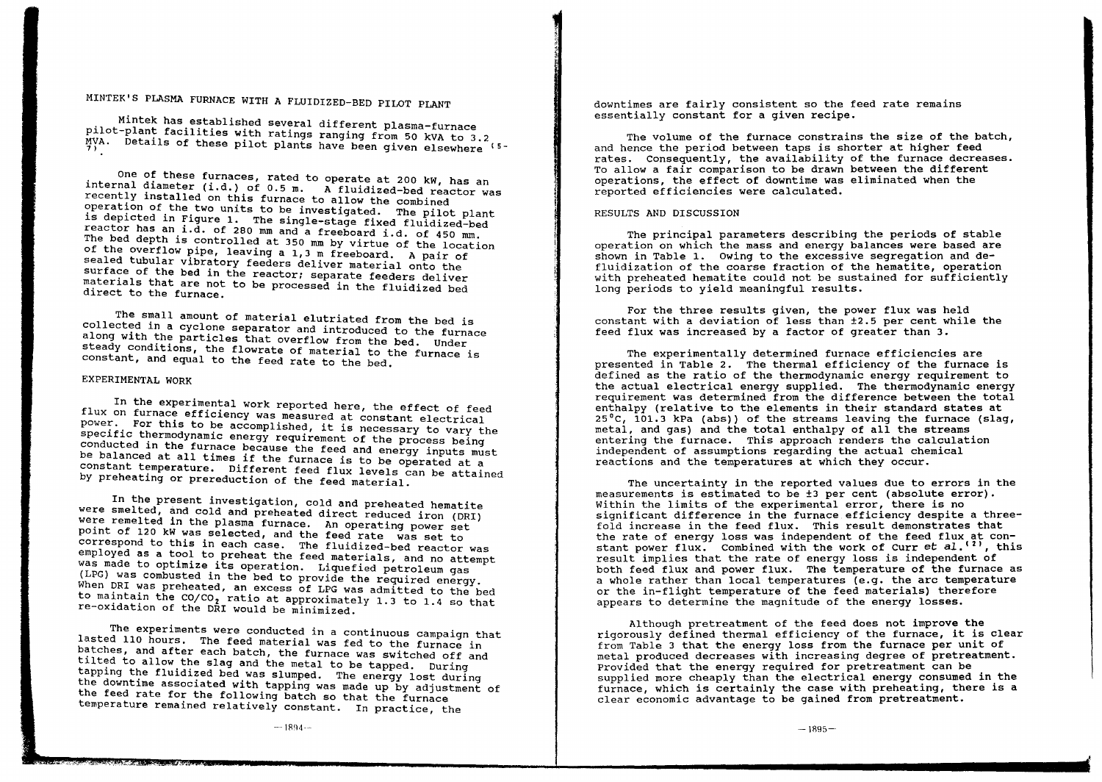# MINTEK'S PLASMA FURNACE WITH A FLUIDIZED-BED PILOT PLANT

Mintek has established several different plasma-furnace pilot-plant facilities with ratings ranging from 50 kVA to 3.2 MVA. Details of these pilot plants have been given elsewhere <sup>15-</sup>

One of these furnaces, rated to operate at 200 kW, has an internal diameter (i.d.) of 0.5 m. A fluidized-bed reactor was recently installed on this furnace to allow the combined operation of the two units to be investigated. The pilot plant is depicted in Figure 1. The single-stage fixed fluidized-bed reactor has an i.d. of 280 mm and a freeboard i.d. of 450 mm. The bed depth is controlled at 350 mm by virtue of the location of the overflow pipe, leaving a 1,3 m freeboard. A pair of sealed tubular vibratory feeders deliver material onto the surface of the bed in the reactor; separate feeders deliver materials that are not to be processed in the fluidized bed direct to the furnace.

The small amount of material elutriated from the bed is collected in a cyclone separator and introduced to the furnace along with the particles that overflow from the bed. Under steady conditions, the flowrate of material to the furnace is constant, and equal to the feed rate to the bed.

## EXPERIMENTAL WORK

In the experimental work reported here, the effect of feed flux on furnace efficiency was measured at constant electrical power. For this to be accomplished, it is necessary to vary the specific thermodynamic energy requirement of the process being conducted in the furnace because the feed and energy inputs must be balanced at all times if the furnace is to be operated at a constant temperature. Different feed flux levels can be attained by preheating or prereduction of the feed material.

In the present investigation, cold and preheated hematite were smelted, and cold and preheated direct reduced iron (DRI) we:e remelted in the plasma furnace. An operating power set point of 120 kW was selected, and the feed rate was set to correspond to this in each case. The fluidized-bed reactor was<br>employed as a tool to preheat the feed materials, and no attempt was made to optimize its operation. Liquefied petroleum gas (LPG) was combusted 1n the bed to prov1de the required energy. When DRI was preheated, an excess of LPG was admitted to the bed to maintain the  $CO/CO$ , ratio at approximately 1.3 to 1.4 so that re-oxidation of the DRI would be minimized.

The experiments were conducted in <sup>a</sup> continuous campaign that lasted 110 hours. The feed material was fed to the furnace in batches, and after each batch, the furnace was switched off and tilted to allow the slag and the metal to be tapped. During tapping the fluidized bed was slumped. The energy lost during the downtime associated with tapping was made up by adjustment of the feed rate for the following batch so that the furnace temperature remained relatively constant. In practice, the

downtimes are fairly consistent so the feed rate remains essentially constant for a given recipe.

The volume of the furnace constrains the size of the batch, and hence the period between taps is shorter at higher feed rates. Consequently, the availability of the furnace decreases. To allow <sup>a</sup> fair comparison to be drawn between the different operations, the effect of downtime was eliminated when the reported efficiencies were calculated.

#### RESULTS AND DISCUSSION

The principal parameters describing the periods of stable operation on which the mass and energy balances were based are shown in Table 1. Owing to the excessive segregation and defluidization of the coarse fraction of the hematite, operation with preheated hematite could not be sustained for sufficiently long periods to yield meaningful results.

For the three results given, the power flux was held constant with a deviation of less than ±2.5 per cent While the feed flux was increased by a factor of greater than 3.

The experimentally determined furnace efficiencies are presented in Table 2. The thermal efficiency of the furnace is defined as the ratio of the thermodynamic energy requirement to the actual electrical energy supplied. The thermodynamic energy requirement was determined from the difference between the total enthalpy (relative to the elements in their standard states at 25 $^{\circ}$ C, 101.3 kPa (abs)) of the streams leaving the furnace (slag, metal, and gas) and the total enthalpy of all the streams entering the furnace. This approach renders the calculation independent of assumptions regarding the actual chemical reactions and the temperatures at which they occur.

The uncertainty in the reported values due to errors in the measurements is estimated to be ±3 per cent (absolute error).<br>Within the limits of the experimental error, there is no significant difference in the furnace efficiency despite a threefold increase in the feed flux. This result demonstrates that the rate of energy loss was independent of the feed flux at constant power flux. Combined with the work of Curr et al.<sup>(2)</sup>, this result implies that the rate of energy loss is independent of both feed flux and power flux. The temperature of the furnace as <sup>a</sup> whole rather than local temperatures (e.g. the arc temperature or the in-flight temperature of the feed materials) therefore appears to determine the magnitude of the energy losses.

Although pretreatment of the feed does not improve the rigorously defined thermal efficiency of the furnace, it is clear from Table <sup>3</sup> that the energy loss from the furnace per unit of metal produced decreases with increasing degree of pretreatment. Provided that the energy required for pretreatment can be supplied more cheaply than the electrical energy consumed in the furnace, which is certainly the case with preheating, there is a clear economic advantage to be gained from pretreatment.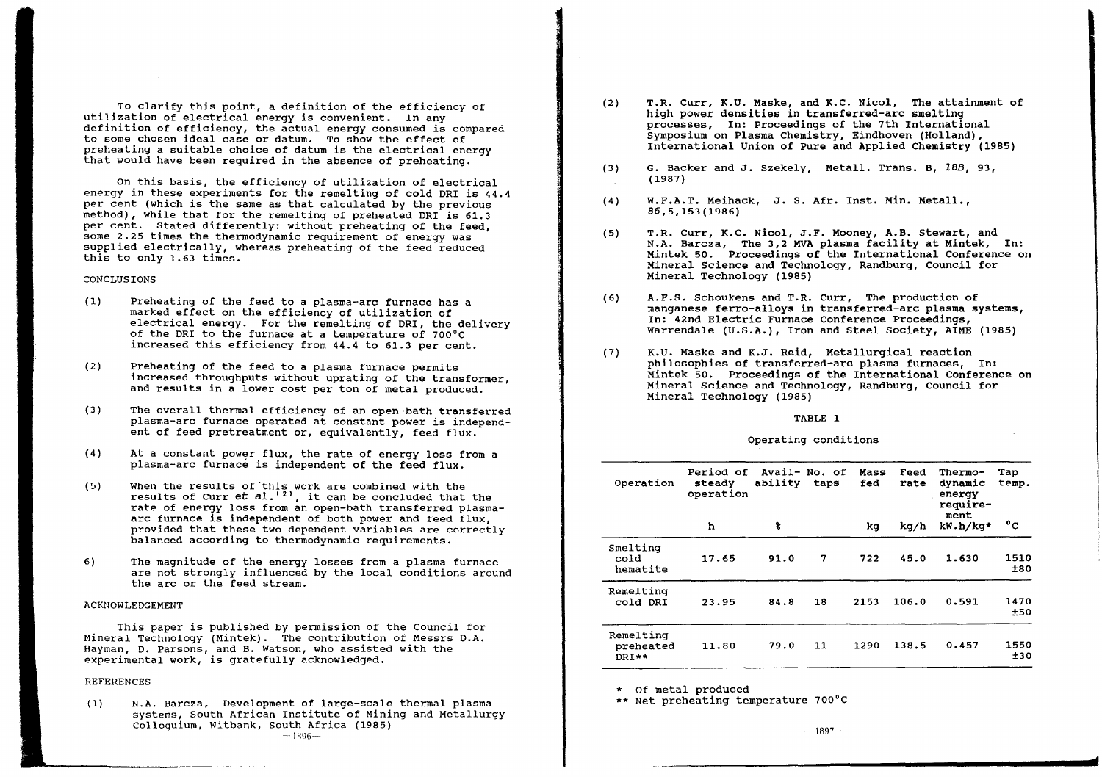To clarify this point, <sup>a</sup> definition of the efficiency of utilization of electrical energy is convenient. In any definition of efficiency, the actual energy consumed is compared to some chosen ideal case or datum. To show the effect of preheating <sup>a</sup> suitable choice of datum is the electrical energy that would have been required in the absence of preheating.

On this basis, the efficiency of utilization of electrical energy in these experiments for the remelting of cold DRI is 44.4 per cent (which is the same as that calculated by the previous method), while that for the remelting of preheated DRI is 61.3 per cent. Stated differently: without preheating of the feed some 2.25 times the thermodynamic requirement of energy was supplled electrically, whereas preheating of the feed reduced this to only 1.63 times.

#### **CONCLUSIONS**

- Preheating of the feed to a plasma-arc furnace has a marked effect on the efficiency of utilization of electrical energy. For the remelting of ORI, the delivery of the DRI to the furnace at <sup>a</sup> temperature of 700°C increased this efficiency from 44.4 to 61.3 per cent. (1)
- (2) Preheating of the feed to a plasma furnace permits increased throughputs without uprating of the transformer and results in a lower cost per ton of metal produced.
- (3) The overall thermal efficiency of an open-bath transferred plasma-arc furnace operated at constant power is independent of feed pretreatment or, equivalently, feed flux.
- (4) At a constant power flux, the rate of energy loss from a plasma-arc furnace is independent of the feed flux.
- (5) When the results of'this work are combined with the results of Curr et  $a!$ .<sup> $(2)$ </sup>, it can be concluded that the rate of energy loss from an open-bath transferred plasma- arc furnace is independent of both power and feed flux provided that these two dependent variables are correctly balanced according to thermodynamic requirements.
- 6) The magnitude of the energy losses from a plasma furnace are not strongly influenced by the local conditions around the arc or the feed stream.

#### ACKNOWLEDGEMENT

This paper is published by permission of the Council for Mineral Technology (Mintek). The contribution of Messrs D.A. Hayman, D. Parsons, and B. Watson, who assisted with the experimental work, is gratefully acknowledged.

#### REFERENCES

N.A. Barcza, Development of large-scale thermal plasma systems, South African Institute of Mining and Metallurgy Colloquium, witbank, South Africa (1985)  $-1896-$ (1)

----------------,,---,----,

- T.R. Curr, K.U. Maske, and K.C. Nicol, The attainment of high power densities in transferred-arc smelting processes, In: Proceedings of the 7th International Symposium on Plasma Chemistry, Eindhoven (Holland), International Union of Pure and Applied Chemistry (1985) (2)
- G. Backer and J. Szekely, Metall. Trans. B, *18B, 93,* (1987) (3)
- W.F.A.T. Meihack, J. S. Afr. Inst. Min. Metall., 86,5,153(1986) (4)
- T.R. Curr, K.C. Nicol, J.F. Mooney, A.B. Stewart, and N.A. Barcza, The 3,2 MVA plasma facility at Mintek, In: Mineral Science and Technology, Randburg, Council for Mineral Technology (1985) (5)
- A.F.S. Schoukens and T.R. Curr, The production of manganese ferro-alloys in transferred-arc plasma systems, In: 42nd Electric Furnace Conference Proceedings, Warrendale (U.S.A.), Iron and Steel Society, AIME (1985) (6)
- K.U. Maske and K.J. Reid, Metallurgical reaction philosophies of transferred-arc plasma furnaces, In: Mintek 50. Proceedings of the International Conference on Mineral Science and Technology, Randburg, council for Mineral Technology (1985) (7)

#### TABLE 1

#### Operating conditions

| Operation                       | Period of Avail- No. of<br>steady<br>operation | ability      | taps | Mass<br>fed | Feed<br>rate | Thermo-<br>dynamic<br>energy<br>require- | Tap<br>temp. |
|---------------------------------|------------------------------------------------|--------------|------|-------------|--------------|------------------------------------------|--------------|
|                                 | ħ                                              | $\mathbf{r}$ |      | kg          | kg/h         | ment<br>kW.h/kq*                         | °c           |
| Smelting<br>cold<br>hematite    | 17.65                                          | 91.0         | 7    | 722         | 45.0         | 1.630                                    | 1510<br>±80  |
| Remelting<br>cold DRI           | 23.95                                          | 84.8         | 18   | 2153        | 106.0        | 0.591                                    | 1470<br>±50  |
| Remelting<br>preheated<br>DRT** | 11.80                                          | 79.0         | 11   | 1290        | 138.5        | 0.457                                    | 1550<br>±30  |

\* Of metal produced \*\* Net preheating temperature 700°C

**rl**